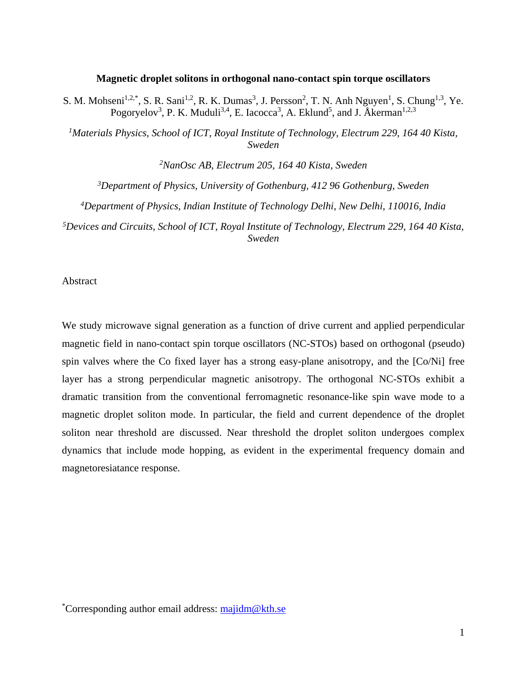#### **Magnetic droplet solitons in orthogonal nano-contact spin torque oscillators**

S. M. Mohseni<sup>1,2,\*</sup>, S. R. Sani<sup>1,2</sup>, R. K. Dumas<sup>3</sup>, J. Persson<sup>2</sup>, T. N. Anh Nguyen<sup>1</sup>, S. Chung<sup>1,3</sup>, Ye. Pogoryelov<sup>3</sup>, P. K. Muduli<sup>3,4</sup>, E. Iacocca<sup>3</sup>, A. Eklund<sup>5</sup>, and J. Åkerman<sup>1,2,3</sup>

*1Materials Physics, School of ICT, Royal Institute of Technology, Electrum 229, 164 40 Kista, Sweden*

*2 NanOsc AB, Electrum 205, 164 40 Kista, Sweden 3Department of Physics, University of Gothenburg, 412 96 Gothenburg, Sweden 4 Department of Physics, Indian Institute of Technology Delhi, New Delhi, 110016, India 5 Devices and Circuits, School of ICT, Royal Institute of Technology, Electrum 229, 164 40 Kista, Sweden*

Abstract

We study microwave signal generation as a function of drive current and applied perpendicular magnetic field in nano-contact spin torque oscillators (NC-STOs) based on orthogonal (pseudo) spin valves where the Co fixed layer has a strong easy-plane anisotropy, and the [Co/Ni] free layer has a strong perpendicular magnetic anisotropy. The orthogonal NC-STOs exhibit a dramatic transition from the conventional ferromagnetic resonance-like spin wave mode to a magnetic droplet soliton mode. In particular, the field and current dependence of the droplet soliton near threshold are discussed. Near threshold the droplet soliton undergoes complex dynamics that include mode hopping, as evident in the experimental frequency domain and magnetoresiatance response.

\*Corresponding author email address: [majidm@kth.se](mailto:majidm@kth.se)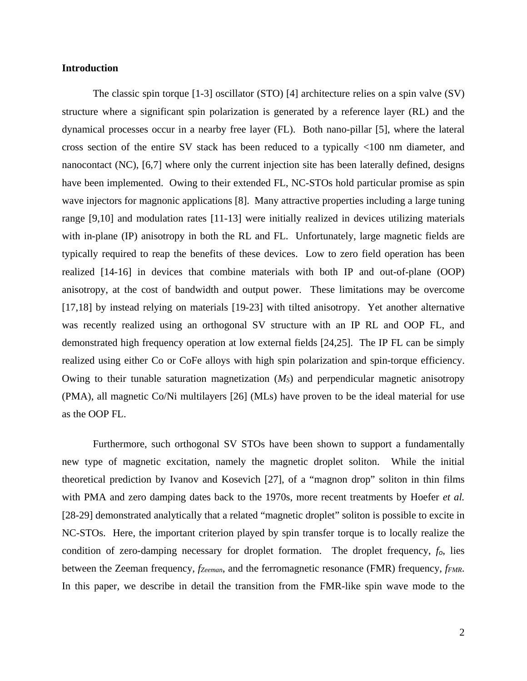### **Introduction**

The classic spin torque [1-3] oscillator (STO) [4] architecture relies on a spin valve (SV) structure where a significant spin polarization is generated by a reference layer (RL) and the dynamical processes occur in a nearby free layer (FL). Both nano-pillar [5], where the lateral cross section of the entire SV stack has been reduced to a typically <100 nm diameter, and nanocontact (NC), [6,7] where only the current injection site has been laterally defined, designs have been implemented. Owing to their extended FL, NC-STOs hold particular promise as spin wave injectors for magnonic applications [8]. Many attractive properties including a large tuning range [9,10] and modulation rates [11-13] were initially realized in devices utilizing materials with in-plane (IP) anisotropy in both the RL and FL. Unfortunately, large magnetic fields are typically required to reap the benefits of these devices. Low to zero field operation has been realized [14-16] in devices that combine materials with both IP and out-of-plane (OOP) anisotropy, at the cost of bandwidth and output power. These limitations may be overcome [17,18] by instead relying on materials [19-23] with tilted anisotropy. Yet another alternative was recently realized using an orthogonal SV structure with an IP RL and OOP FL, and demonstrated high frequency operation at low external fields [24,25]. The IP FL can be simply realized using either Co or CoFe alloys with high spin polarization and spin-torque efficiency. Owing to their tunable saturation magnetization (*MS*) and perpendicular magnetic anisotropy (PMA), all magnetic Co/Ni multilayers [26] (MLs) have proven to be the ideal material for use as the OOP FL.

Furthermore, such orthogonal SV STOs have been shown to support a fundamentally new type of magnetic excitation, namely the magnetic droplet soliton. While the initial theoretical prediction by Ivanov and Kosevich [27], of a "magnon drop" soliton in thin films with PMA and zero damping dates back to the 1970s, more recent treatments by Hoefer *et al.* [28-29] demonstrated analytically that a related "magnetic droplet" soliton is possible to excite in NC-STOs. Here, the important criterion played by spin transfer torque is to locally realize the condition of zero-damping necessary for droplet formation. The droplet frequency, *fo*, lies between the Zeeman frequency, *fzeeman*, and the ferromagnetic resonance (FMR) frequency, *fFMR*. In this paper, we describe in detail the transition from the FMR-like spin wave mode to the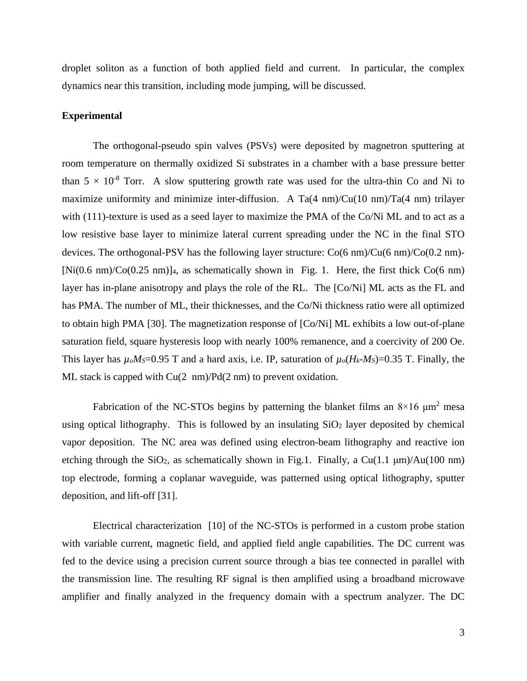droplet soliton as a function of both applied field and current. In particular, the complex dynamics near this transition, including mode jumping, will be discussed.

### **Experimental**

The orthogonal-pseudo spin valves (PSVs) were deposited by magnetron sputtering at room temperature on thermally oxidized Si substrates in a chamber with a base pressure better than  $5 \times 10^{-8}$  Torr. A slow sputtering growth rate was used for the ultra-thin Co and Ni to maximize uniformity and minimize inter-diffusion. A Ta(4 nm)/Cu(10 nm)/Ta(4 nm) trilayer with (111)-texture is used as a seed layer to maximize the PMA of the Co/Ni ML and to act as a low resistive base layer to minimize lateral current spreading under the NC in the final STO devices. The orthogonal-PSV has the following layer structure: Co(6 nm)/Cu(6 nm)/Co(0.2 nm)-  $[Ni(0.6 \text{ nm})/Co(0.25 \text{ nm})]_4$ , as schematically shown in Fig. 1. Here, the first thick  $Co(6 \text{ nm})$ layer has in-plane anisotropy and plays the role of the RL. The [Co/Ni] ML acts as the FL and has PMA. The number of ML, their thicknesses, and the Co/Ni thickness ratio were all optimized to obtain high PMA [30]. The magnetization response of [Co/Ni] ML exhibits a low out-of-plane saturation field, square hysteresis loop with nearly 100% remanence, and a coercivity of 200 Oe. This layer has  $\mu_o M_S = 0.95$  T and a hard axis, i.e. IP, saturation of  $\mu_o (H_k - M_S) = 0.35$  T. Finally, the ML stack is capped with Cu(2 nm)/Pd(2 nm) to prevent oxidation.

Fabrication of the NC-STOs begins by patterning the blanket films an  $8\times16 \mu m^2$  mesa using optical lithography. This is followed by an insulating  $SiO<sub>2</sub>$  layer deposited by chemical vapor deposition. The NC area was defined using electron-beam lithography and reactive ion etching through the SiO<sub>2</sub>, as schematically shown in Fig.1. Finally, a Cu(1.1  $\mu$ m)/Au(100 nm) top electrode, forming a coplanar waveguide, was patterned using optical lithography, sputter deposition, and lift-off [31].

Electrical characterization [10] of the NC-STOs is performed in a custom probe station with variable current, magnetic field, and applied field angle capabilities. The DC current was fed to the device using a precision current source through a bias tee connected in parallel with the transmission line. The resulting RF signal is then amplified using a broadband microwave amplifier and finally analyzed in the frequency domain with a spectrum analyzer. The DC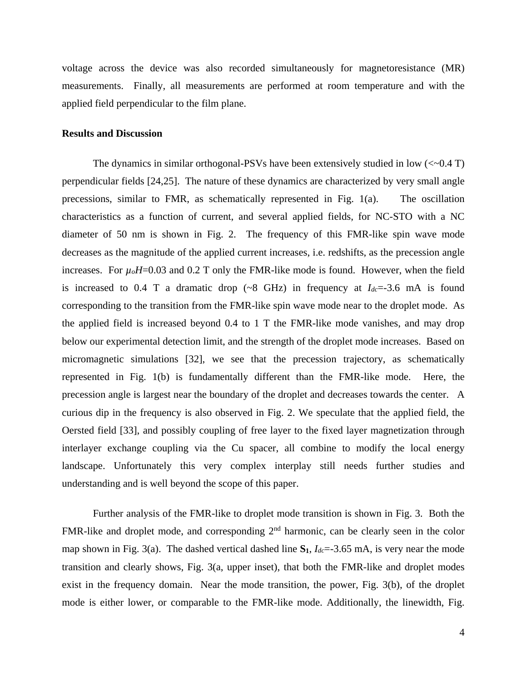voltage across the device was also recorded simultaneously for magnetoresistance (MR) measurements. Finally, all measurements are performed at room temperature and with the applied field perpendicular to the film plane.

# **Results and Discussion**

The dynamics in similar orthogonal-PSVs have been extensively studied in low  $\left(\langle \sim 0.4 \text{ T} \right)$ perpendicular fields [24,25]. The nature of these dynamics are characterized by very small angle precessions, similar to FMR, as schematically represented in Fig. 1(a). The oscillation characteristics as a function of current, and several applied fields, for NC-STO with a NC diameter of 50 nm is shown in Fig. 2. The frequency of this FMR-like spin wave mode decreases as the magnitude of the applied current increases, i.e. redshifts, as the precession angle increases. For  $\mu_0H=0.03$  and 0.2 T only the FMR-like mode is found. However, when the field is increased to 0.4 T a dramatic drop  $({\sim}8$  GHz) in frequency at  $I_{dc} = -3.6$  mA is found corresponding to the transition from the FMR-like spin wave mode near to the droplet mode. As the applied field is increased beyond 0.4 to 1 T the FMR-like mode vanishes, and may drop below our experimental detection limit, and the strength of the droplet mode increases. Based on micromagnetic simulations [32], we see that the precession trajectory, as schematically represented in Fig. 1(b) is fundamentally different than the FMR-like mode. Here, the precession angle is largest near the boundary of the droplet and decreases towards the center. A curious dip in the frequency is also observed in Fig. 2. We speculate that the applied field, the Oersted field [33], and possibly coupling of free layer to the fixed layer magnetization through interlayer exchange coupling via the Cu spacer, all combine to modify the local energy landscape. Unfortunately this very complex interplay still needs further studies and understanding and is well beyond the scope of this paper.

Further analysis of the FMR-like to droplet mode transition is shown in Fig. 3. Both the FMR-like and droplet mode, and corresponding 2<sup>nd</sup> harmonic, can be clearly seen in the color map shown in Fig. 3(a). The dashed vertical dashed line  $S_1$ ,  $I_{dc}$  = -3.65 mA, is very near the mode transition and clearly shows, Fig. 3(a, upper inset), that both the FMR-like and droplet modes exist in the frequency domain. Near the mode transition, the power, Fig. 3(b), of the droplet mode is either lower, or comparable to the FMR-like mode. Additionally, the linewidth, Fig.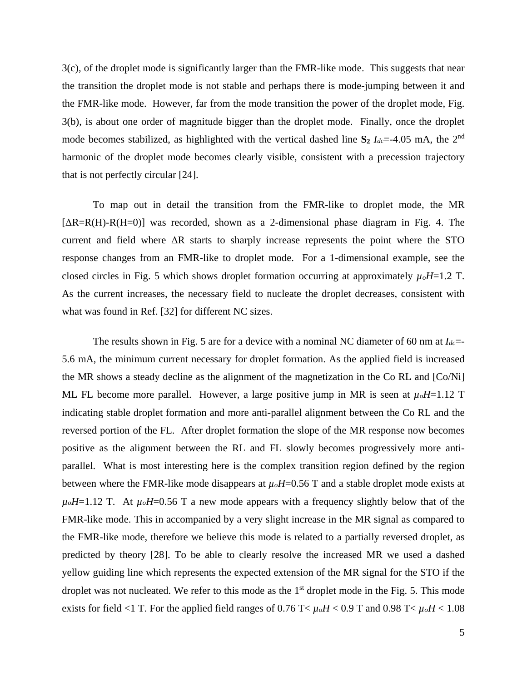3(c), of the droplet mode is significantly larger than the FMR-like mode. This suggests that near the transition the droplet mode is not stable and perhaps there is mode-jumping between it and the FMR-like mode. However, far from the mode transition the power of the droplet mode, Fig. 3(b), is about one order of magnitude bigger than the droplet mode. Finally, once the droplet mode becomes stabilized, as highlighted with the vertical dashed line  $S_2$   $I_{dc}$ =-4.05 mA, the 2<sup>nd</sup> harmonic of the droplet mode becomes clearly visible, consistent with a precession trajectory that is not perfectly circular [24].

To map out in detail the transition from the FMR-like to droplet mode, the MR  $[AR=R(H)-R(H=0)]$  was recorded, shown as a 2-dimensional phase diagram in Fig. 4. The current and field where  $\Delta R$  starts to sharply increase represents the point where the STO response changes from an FMR-like to droplet mode. For a 1-dimensional example, see the closed circles in Fig. 5 which shows droplet formation occurring at approximately *µoH*=1.2 T. As the current increases, the necessary field to nucleate the droplet decreases, consistent with what was found in Ref. [32] for different NC sizes.

The results shown in Fig. 5 are for a device with a nominal NC diameter of 60 nm at *Idc*=- 5.6 mA, the minimum current necessary for droplet formation. As the applied field is increased the MR shows a steady decline as the alignment of the magnetization in the Co RL and [Co/Ni] ML FL become more parallel. However, a large positive jump in MR is seen at  $\mu_0H$ =1.12 T indicating stable droplet formation and more anti-parallel alignment between the Co RL and the reversed portion of the FL. After droplet formation the slope of the MR response now becomes positive as the alignment between the RL and FL slowly becomes progressively more antiparallel. What is most interesting here is the complex transition region defined by the region between where the FMR-like mode disappears at  $\mu_0H$ =0.56 T and a stable droplet mode exists at  $\mu_0H$ =1.12 T. At  $\mu_0H$ =0.56 T a new mode appears with a frequency slightly below that of the FMR-like mode. This in accompanied by a very slight increase in the MR signal as compared to the FMR-like mode, therefore we believe this mode is related to a partially reversed droplet, as predicted by theory [28]. To be able to clearly resolve the increased MR we used a dashed yellow guiding line which represents the expected extension of the MR signal for the STO if the droplet was not nucleated. We refer to this mode as the  $1<sup>st</sup>$  droplet mode in the Fig. 5. This mode exists for field <1 T. For the applied field ranges of  $0.76$  T<  $\mu_o H < 0.9$  T and  $0.98$  T<  $\mu_o H < 1.08$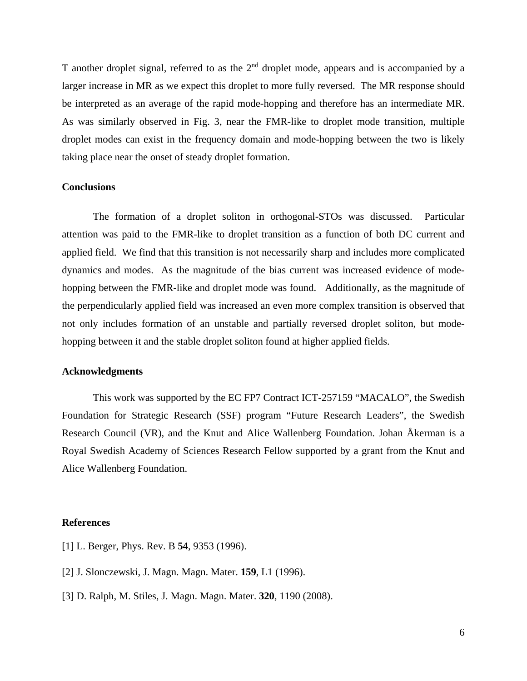T another droplet signal, referred to as the 2<sup>nd</sup> droplet mode, appears and is accompanied by a larger increase in MR as we expect this droplet to more fully reversed. The MR response should be interpreted as an average of the rapid mode-hopping and therefore has an intermediate MR. As was similarly observed in Fig. 3, near the FMR-like to droplet mode transition, multiple droplet modes can exist in the frequency domain and mode-hopping between the two is likely taking place near the onset of steady droplet formation.

### **Conclusions**

The formation of a droplet soliton in orthogonal-STOs was discussed. Particular attention was paid to the FMR-like to droplet transition as a function of both DC current and applied field. We find that this transition is not necessarily sharp and includes more complicated dynamics and modes. As the magnitude of the bias current was increased evidence of modehopping between the FMR-like and droplet mode was found. Additionally, as the magnitude of the perpendicularly applied field was increased an even more complex transition is observed that not only includes formation of an unstable and partially reversed droplet soliton, but modehopping between it and the stable droplet soliton found at higher applied fields.

## **Acknowledgments**

This work was supported by the EC FP7 Contract ICT-257159 "MACALO", the Swedish Foundation for Strategic Research (SSF) program "Future Research Leaders", the Swedish Research Council (VR), and the Knut and Alice Wallenberg Foundation. Johan Åkerman is a Royal Swedish Academy of Sciences Research Fellow supported by a grant from the Knut and Alice Wallenberg Foundation.

### **References**

- [1] L. Berger, Phys. Rev. B **54**, 9353 (1996).
- [2] J. Slonczewski, J. Magn. Magn. Mater. **159**, L1 (1996).
- [3] D. Ralph, M. Stiles, J. Magn. Magn. Mater. **320**, 1190 (2008).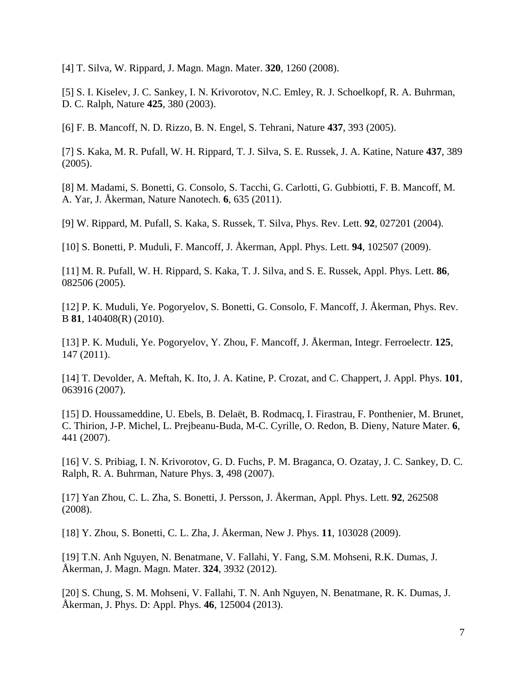[4] T. Silva, W. Rippard, J. Magn. Magn. Mater. **320**, 1260 (2008).

[5] S. I. Kiselev, J. C. Sankey, I. N. Krivorotov, N.C. Emley, R. J. Schoelkopf, R. A. Buhrman, D. C. Ralph, Nature **425**, 380 (2003).

[6] F. B. Mancoff, N. D. Rizzo, B. N. Engel, S. Tehrani, Nature **437**, 393 (2005).

[7] S. Kaka, M. R. Pufall, W. H. Rippard, T. J. Silva, S. E. Russek, J. A. Katine, Nature **437**, 389 (2005).

[8] M. Madami, S. Bonetti, G. Consolo, S. Tacchi, G. Carlotti, G. Gubbiotti, F. B. Mancoff, M. A. Yar, J. Åkerman, Nature Nanotech. **6**, 635 (2011).

[9] W. Rippard, M. Pufall, S. Kaka, S. Russek, T. Silva, Phys. Rev. Lett. **92**, 027201 (2004).

[10] S. Bonetti, P. Muduli, F. Mancoff, J. Åkerman, Appl. Phys. Lett. **94**, 102507 (2009).

[11] M. R. Pufall, W. H. Rippard, S. Kaka, T. J. Silva, and S. E. Russek, Appl. Phys. Lett. **86**, 082506 (2005).

[12] P. K. Muduli, Ye. Pogoryelov, S. Bonetti, G. Consolo, F. Mancoff, J. Åkerman, Phys. Rev. B **81**, 140408(R) (2010).

[13] P. K. Muduli, Ye. Pogoryelov, Y. Zhou, F. Mancoff, J. Åkerman, Integr. Ferroelectr. **125**, 147 (2011).

[14] T. Devolder, A. Meftah, K. Ito, J. A. Katine, P. Crozat, and C. Chappert, J. Appl. Phys. **101**, 063916 (2007).

[15] D. Houssameddine, U. Ebels, B. Delaët, B. Rodmacq, I. Firastrau, F. Ponthenier, M. Brunet, C. Thirion, J-P. Michel, L. Prejbeanu-Buda, M-C. Cyrille, O. Redon, B. Dieny, Nature Mater. **6**, 441 (2007).

[16] V. S. Pribiag, I. N. Krivorotov, G. D. Fuchs, P. M. Braganca, O. Ozatay, J. C. Sankey, D. C. Ralph, R. A. Buhrman, Nature Phys. **3**, 498 (2007).

[17] Yan Zhou, C. L. Zha, S. Bonetti, J. Persson, J. Åkerman, Appl. Phys. Lett. **92**, 262508 (2008).

[18] Y. Zhou, S. Bonetti, C. L. Zha, J. Åkerman, New J. Phys. **11**, 103028 (2009).

[19] T.N. Anh Nguyen, N. Benatmane, V. Fallahi, Y. Fang, S.M. Mohseni, R.K. Dumas, J. Åkerman, J. Magn. Magn. Mater. **324**, 3932 (2012).

[20] S. Chung, S. M. Mohseni, V. Fallahi, T. N. Anh Nguyen, N. Benatmane, R. K. Dumas, J. Åkerman, J. Phys. D: Appl. Phys. **46**, 125004 (2013).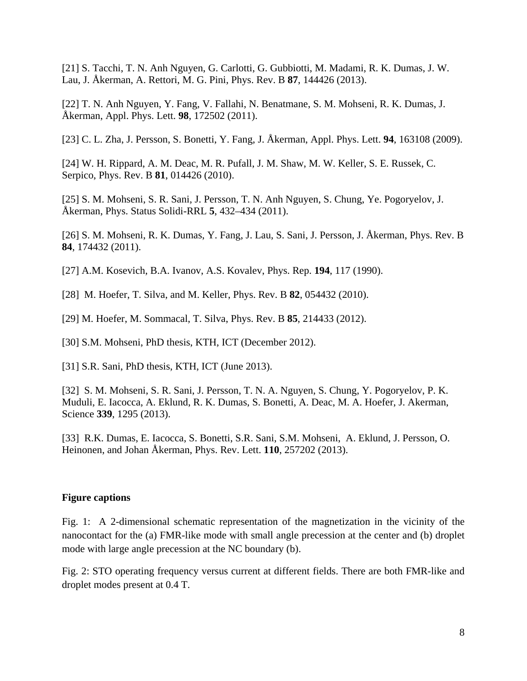[21] S. Tacchi, T. N. Anh Nguyen, G. Carlotti, G. Gubbiotti, M. Madami, R. K. Dumas, J. W. Lau, J. Åkerman, A. Rettori, M. G. Pini, Phys. Rev. B **87**, 144426 (2013).

[22] T. N. Anh Nguyen, Y. Fang, V. Fallahi, N. Benatmane, S. M. Mohseni, R. K. Dumas, J. Åkerman, Appl. Phys. Lett. **98**, 172502 (2011).

[23] C. L. Zha, J. Persson, S. Bonetti, Y. Fang, J. Åkerman, Appl. Phys. Lett. **94**, 163108 (2009).

[24] W. H. Rippard, A. M. Deac, M. R. Pufall, J. M. Shaw, M. W. Keller, S. E. Russek, C. Serpico, Phys. Rev. B **81**, 014426 (2010).

[25] S. M. Mohseni, S. R. Sani, J. Persson, T. N. Anh Nguyen, S. Chung, Ye. Pogoryelov, J. Åkerman, Phys. Status Solidi-RRL **5**, 432–434 (2011).

[26] S. M. Mohseni, R. K. Dumas, Y. Fang, J. Lau, S. Sani, J. Persson, J. Åkerman, Phys. Rev. B **84**, 174432 (2011).

[27] A.M. Kosevich, B.A. Ivanov, A.S. Kovalev, Phys. Rep. **194**, 117 (1990).

[28] M. Hoefer, T. Silva, and M. Keller, Phys. Rev. B **82**, 054432 (2010).

[29] M. Hoefer, M. Sommacal, T. Silva, Phys. Rev. B **85**, 214433 (2012).

[30] S.M. Mohseni, PhD thesis, KTH, ICT (December 2012).

[31] S.R. Sani, PhD thesis, KTH, ICT (June 2013).

[32] S. M. Mohseni, S. R. Sani, J. Persson, T. N. A. Nguyen, S. Chung, Y. Pogoryelov, P. K. Muduli, E. Iacocca, A. Eklund, R. K. Dumas, S. Bonetti, A. Deac, M. A. Hoefer, J. Akerman, Science **339**, 1295 (2013).

[33] R.K. Dumas, E. Iacocca, S. Bonetti, S.R. Sani, S.M. Mohseni, A. Eklund, J. Persson, O. Heinonen, and Johan Åkerman, Phys. Rev. Lett. **110**, 257202 (2013).

#### **Figure captions**

Fig. 1: A 2-dimensional schematic representation of the magnetization in the vicinity of the nanocontact for the (a) FMR-like mode with small angle precession at the center and (b) droplet mode with large angle precession at the NC boundary (b).

Fig. 2: STO operating frequency versus current at different fields. There are both FMR-like and droplet modes present at 0.4 T.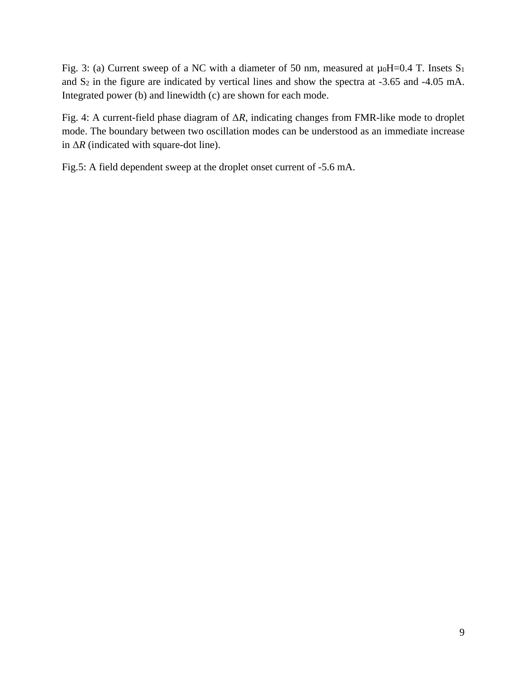Fig. 3: (a) Current sweep of a NC with a diameter of 50 nm, measured at  $\mu_0H=0.4$  T. Insets S<sub>1</sub> and S2 in the figure are indicated by vertical lines and show the spectra at -3.65 and -4.05 mA. Integrated power (b) and linewidth (c) are shown for each mode.

Fig. 4: A current-field phase diagram of Δ*R*, indicating changes from FMR-like mode to droplet mode. The boundary between two oscillation modes can be understood as an immediate increase in Δ*R* (indicated with square-dot line).

Fig.5: A field dependent sweep at the droplet onset current of -5.6 mA.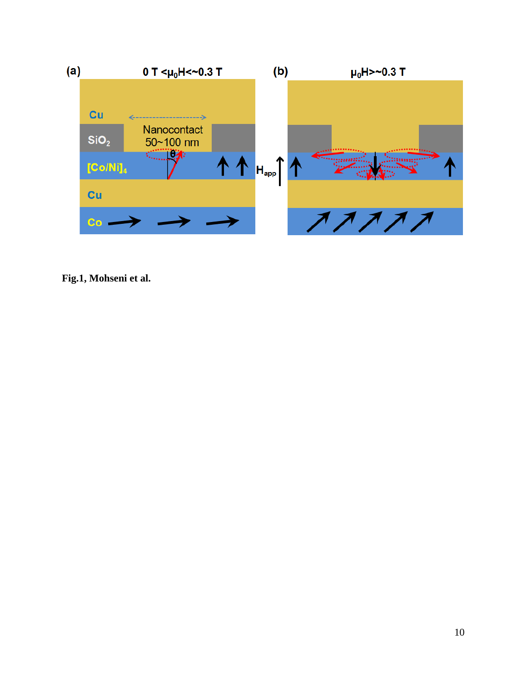

**Fig.1, Mohseni et al.**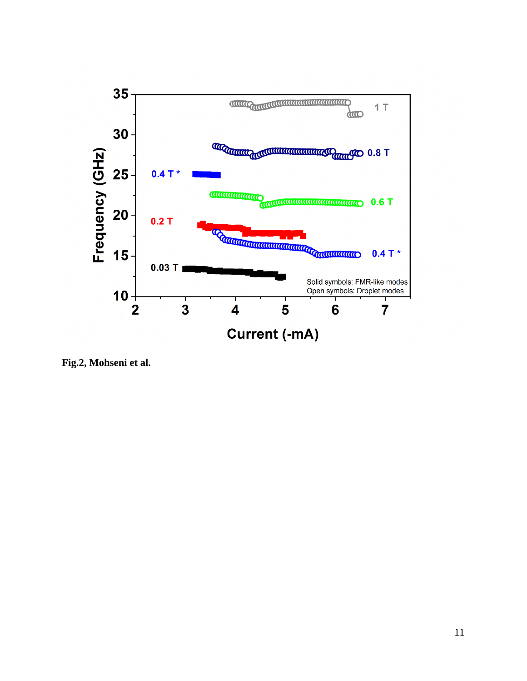

**Fig.2, Mohseni et al.**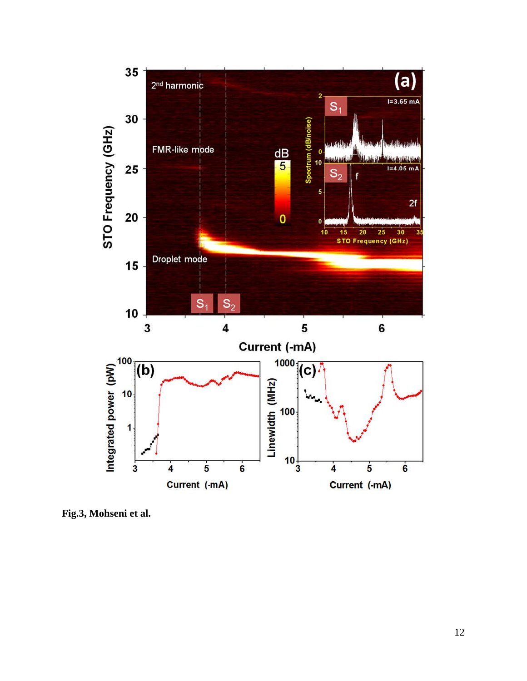

**Fig.3, Mohseni et al.**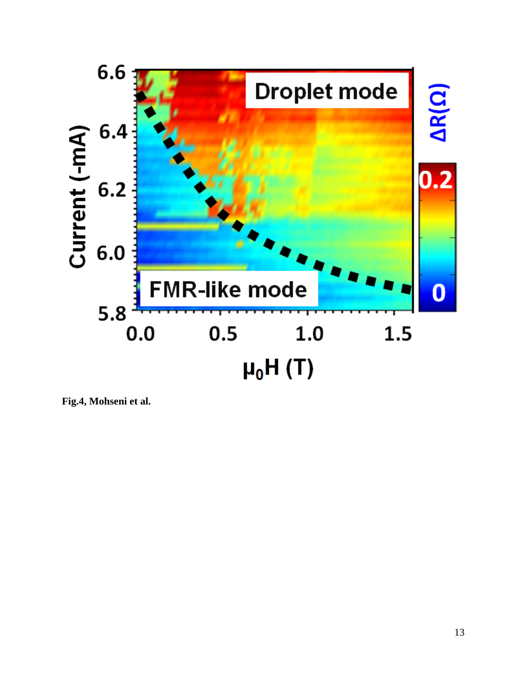

**Fig.4, Mohseni et al.**